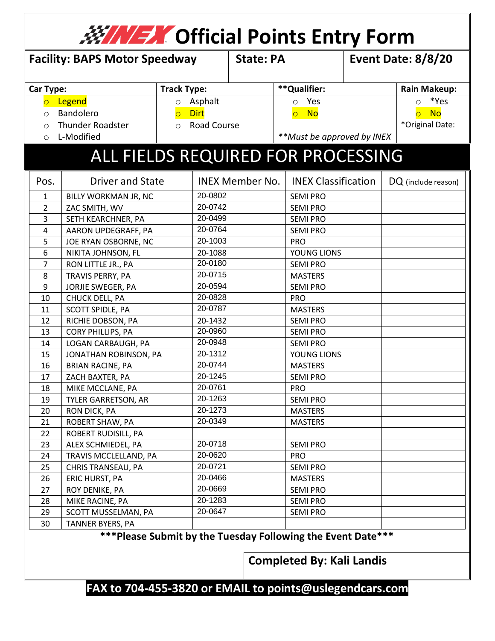## **WEX** Official Points Entry Form

| <b>Facility: BAPS Motor Speedway</b>                                                            |                                     |                                                                                    | <b>State: PA</b>       |                                                                             | <b>Event Date: 8/8/20</b> |                                                                   |
|-------------------------------------------------------------------------------------------------|-------------------------------------|------------------------------------------------------------------------------------|------------------------|-----------------------------------------------------------------------------|---------------------------|-------------------------------------------------------------------|
| Car Type:                                                                                       |                                     | <b>Track Type:</b>                                                                 |                        | **Qualifier:                                                                |                           | <b>Rain Makeup:</b>                                               |
| o Legend<br>Bandolero<br>$\circ$<br><b>Thunder Roadster</b><br>$\circ$<br>L-Modified<br>$\circ$ |                                     | o Asphalt<br><b>Dirt</b><br>$\overline{\bigcirc}$<br><b>Road Course</b><br>$\circ$ |                        | Yes<br>$\circ$<br><b>No</b><br>$\overline{O}$<br>**Must be approved by INEX |                           | *Yes<br>$\circ$<br><b>No</b><br>$\overline{O}$<br>*Original Date: |
|                                                                                                 |                                     | ALL FIELDS REQUIRED FOR PROCESSING                                                 |                        |                                                                             |                           |                                                                   |
| Pos.                                                                                            | <b>Driver and State</b>             |                                                                                    | <b>INEX Member No.</b> | <b>INEX Classification</b>                                                  |                           | DQ (include reason)                                               |
| 1                                                                                               | BILLY WORKMAN JR, NC                | 20-0802                                                                            |                        | <b>SEMI PRO</b>                                                             |                           |                                                                   |
| $\overline{2}$                                                                                  | ZAC SMITH, WV                       | 20-0742                                                                            |                        | <b>SEMI PRO</b>                                                             |                           |                                                                   |
| 3                                                                                               | SETH KEARCHNER, PA                  | 20-0499                                                                            |                        | <b>SEMI PRO</b>                                                             |                           |                                                                   |
| 4                                                                                               | AARON UPDEGRAFF, PA                 | 20-0764                                                                            |                        | <b>SEMI PRO</b>                                                             |                           |                                                                   |
| 5                                                                                               | JOE RYAN OSBORNE, NC                | 20-1003                                                                            |                        | <b>PRO</b>                                                                  |                           |                                                                   |
| 6                                                                                               | NIKITA JOHNSON, FL                  | 20-1088                                                                            |                        | YOUNG LIONS                                                                 |                           |                                                                   |
| $\overline{7}$                                                                                  | RON LITTLE JR., PA                  | 20-0180                                                                            |                        | <b>SEMI PRO</b>                                                             |                           |                                                                   |
| 8                                                                                               | TRAVIS PERRY, PA                    | 20-0715                                                                            |                        | <b>MASTERS</b>                                                              |                           |                                                                   |
| 9                                                                                               | JORJIE SWEGER, PA                   | 20-0594                                                                            |                        | <b>SEMI PRO</b>                                                             |                           |                                                                   |
| 10                                                                                              | CHUCK DELL, PA                      | 20-0828                                                                            |                        | <b>PRO</b>                                                                  |                           |                                                                   |
| 11                                                                                              | SCOTT SPIDLE, PA                    | 20-0787                                                                            |                        | <b>MASTERS</b>                                                              |                           |                                                                   |
| 12                                                                                              | RICHIE DOBSON, PA                   | 20-1432                                                                            |                        | <b>SEMI PRO</b>                                                             |                           |                                                                   |
| 13                                                                                              | CORY PHILLIPS, PA                   | 20-0960                                                                            |                        | <b>SEMI PRO</b>                                                             |                           |                                                                   |
| 14                                                                                              | LOGAN CARBAUGH, PA                  | 20-0948<br>20-1312                                                                 |                        | <b>SEMI PRO</b>                                                             |                           |                                                                   |
| 15                                                                                              | JONATHAN ROBINSON, PA               | 20-0744                                                                            |                        | YOUNG LIONS                                                                 |                           |                                                                   |
| 16<br>17                                                                                        | BRIAN RACINE, PA                    | 20-1245                                                                            |                        | <b>MASTERS</b>                                                              |                           |                                                                   |
| 18                                                                                              | ZACH BAXTER, PA<br>MIKE MCCLANE, PA | 20-0761                                                                            |                        | <b>SEMI PRO</b><br><b>PRO</b>                                               |                           |                                                                   |
| 19                                                                                              | <b>TYLER GARRETSON, AR</b>          | 20-1263                                                                            |                        | <b>SEMI PRO</b>                                                             |                           |                                                                   |
| 20                                                                                              | RON DICK, PA                        | 20-1273                                                                            |                        | <b>MASTERS</b>                                                              |                           |                                                                   |
| 21                                                                                              | ROBERT SHAW, PA                     | 20-0349                                                                            |                        | <b>MASTERS</b>                                                              |                           |                                                                   |
| 22                                                                                              | ROBERT RUDISILL, PA                 |                                                                                    |                        |                                                                             |                           |                                                                   |
| 23                                                                                              | ALEX SCHMIEDEL, PA                  | 20-0718                                                                            |                        | <b>SEMI PRO</b>                                                             |                           |                                                                   |
| 24                                                                                              | TRAVIS MCCLELLAND, PA               | 20-0620                                                                            |                        | <b>PRO</b>                                                                  |                           |                                                                   |
| 25                                                                                              | CHRIS TRANSEAU, PA                  | 20-0721                                                                            |                        | <b>SEMI PRO</b>                                                             |                           |                                                                   |
| 26                                                                                              | ERIC HURST, PA                      | 20-0466                                                                            |                        | <b>MASTERS</b>                                                              |                           |                                                                   |
| 27                                                                                              | ROY DENIKE, PA                      | 20-0669                                                                            |                        | <b>SEMI PRO</b>                                                             |                           |                                                                   |
| 28                                                                                              | MIKE RACINE, PA                     | 20-1283                                                                            |                        | <b>SEMI PRO</b>                                                             |                           |                                                                   |
| 29                                                                                              | SCOTT MUSSELMAN, PA                 | 20-0647                                                                            |                        | <b>SEMI PRO</b>                                                             |                           |                                                                   |
| 30                                                                                              | TANNER BYERS, PA                    |                                                                                    |                        |                                                                             |                           |                                                                   |
|                                                                                                 |                                     | *** Please Submit by the Tuesday Following the Event Date***                       |                        | <b>Completed By: Kali Landis</b>                                            |                           |                                                                   |

**FAX to 704-455-3820 or EMAIL to points@uslegendcars.com**